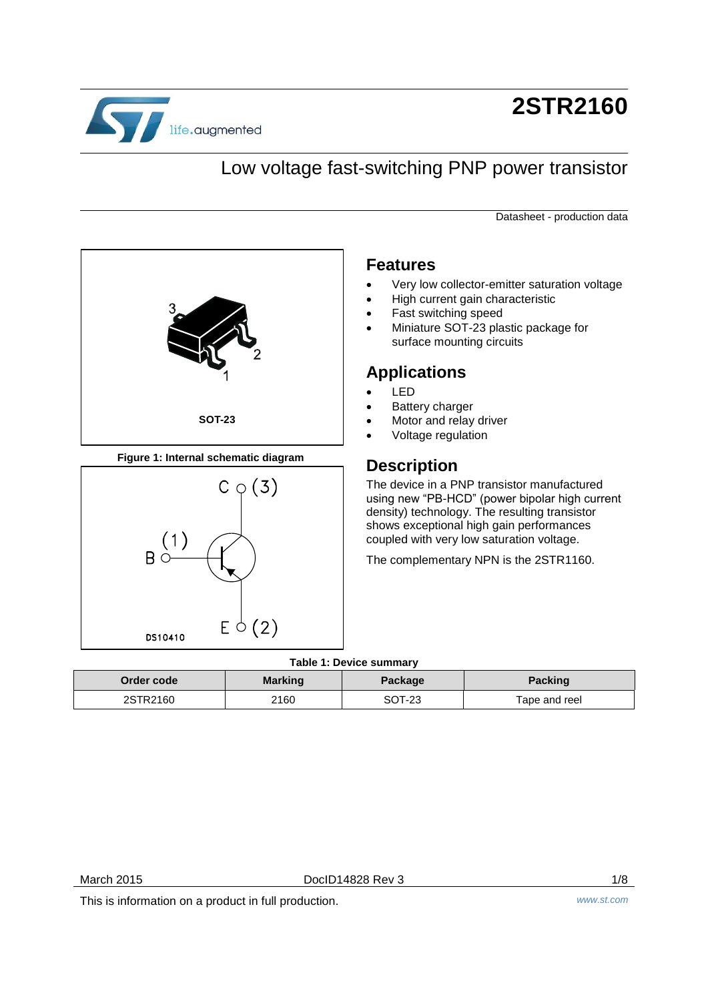

# **2STR2160**

# Low voltage fast-switching PNP power transistor

Datasheet - production data



**Figure 1: Internal schematic diagram**



#### **Features**

- Very low collector-emitter saturation voltage
- High current gain characteristic
- Fast switching speed
- Miniature SOT-23 plastic package for surface mounting circuits

### **Applications**

- LED
- Battery charger
- Motor and relay driver
- Voltage regulation

### **Description**

The device in a PNP transistor manufactured using new "PB-HCD" (power bipolar high current density) technology. The resulting transistor shows exceptional high gain performances coupled with very low saturation voltage.

The complementary NPN is the 2STR1160.

#### **Table 1: Device summary**

<span id="page-0-0"></span>

| TAMIC T. DEVICE SUITINGLY |                |                |                |
|---------------------------|----------------|----------------|----------------|
| Order code                | <b>Marking</b> | <b>Package</b> | <b>Packing</b> |
| 2STR2160                  | 2160           | SOT-23         | Tape and reel  |

This is information on a product in full production. *www.st.com*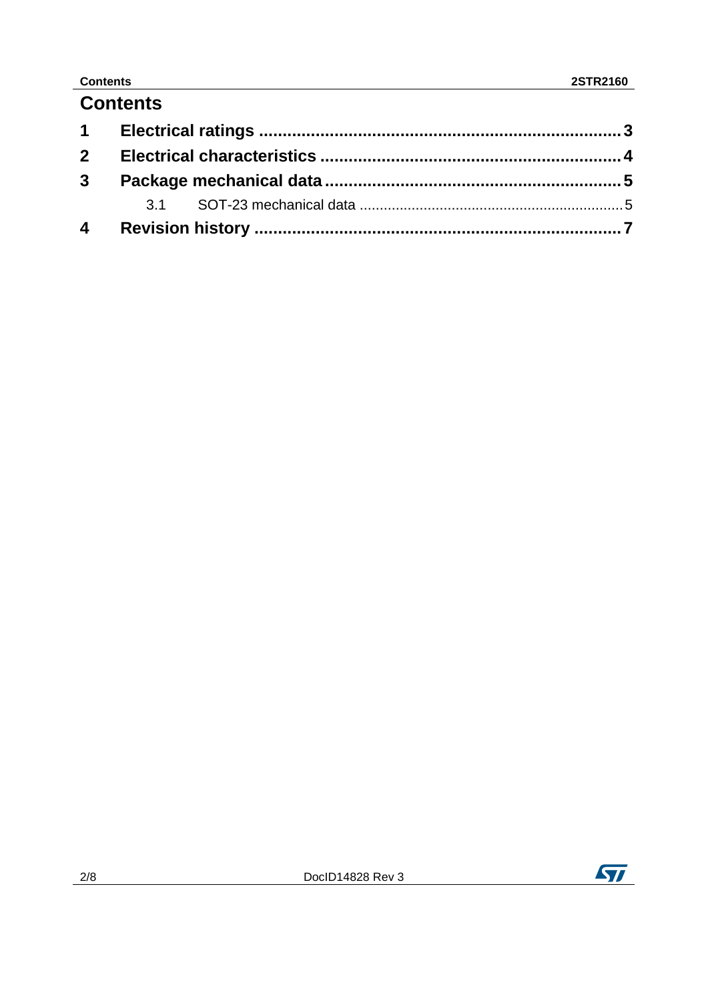### **Contents**

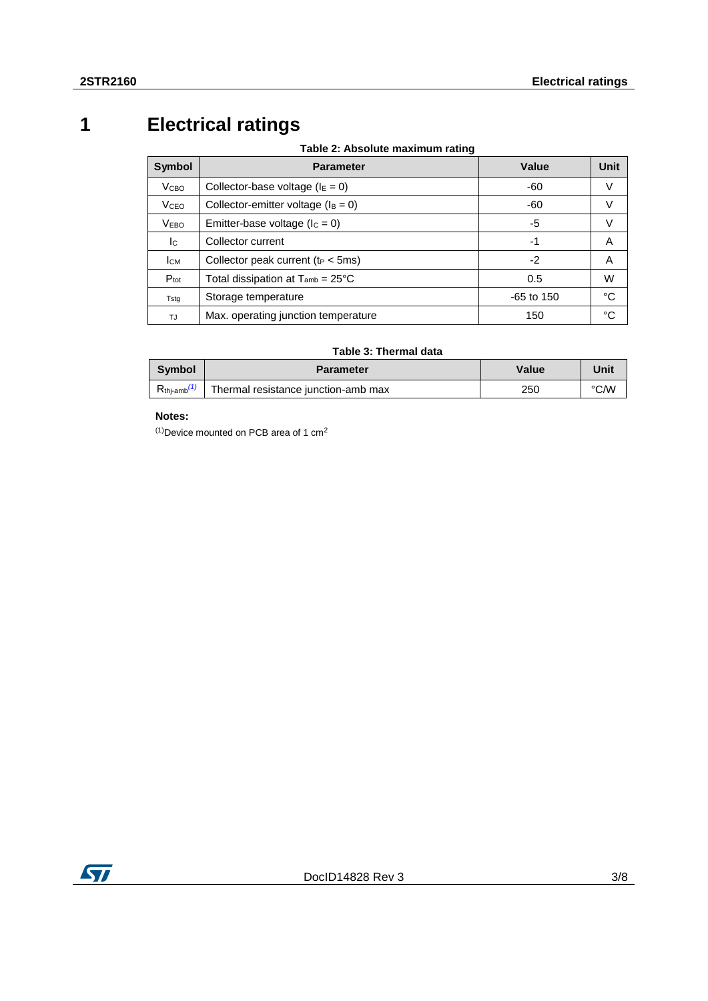# **1 Electrical ratings**

**Table 2: Absolute maximum rating**

<span id="page-2-0"></span>

| Symbol                  | <b>Parameter</b>                              | Value        | <b>Unit</b> |
|-------------------------|-----------------------------------------------|--------------|-------------|
| <b>V</b> <sub>CBO</sub> | Collector-base voltage ( $IE = 0$ )           | -60          | V           |
| <b>V</b> <sub>CEO</sub> | Collector-emitter voltage ( $I_B = 0$ )       | -60          | v           |
| <b>VEBO</b>             | Emitter-base voltage ( $lc = 0$ )             | -5           | v           |
| Ic                      | Collector current                             | -1           | Α           |
| Ісм                     | Collector peak current ( $t_P < 5ms$ )        | -2           | Α           |
| $P_{\text{tot}}$        | Total dissipation at $T_{amb} = 25^{\circ}$ C | 0.5          | W           |
| Tsta                    | Storage temperature                           | $-65$ to 150 | °C          |
| TJ.                     | Max. operating junction temperature           | 150          | °C          |

#### **Table 3: Thermal data**

| <b>Symbol</b>              | <b>Parameter</b>                    | Value | Unit |
|----------------------------|-------------------------------------|-------|------|
| $R_{\text{thi-amb}}^{(1)}$ | Thermal resistance junction-amb max | 250   | °C∕W |

#### **Notes:**

<span id="page-2-1"></span> $(1)$ Device mounted on PCB area of 1 cm<sup>2</sup>

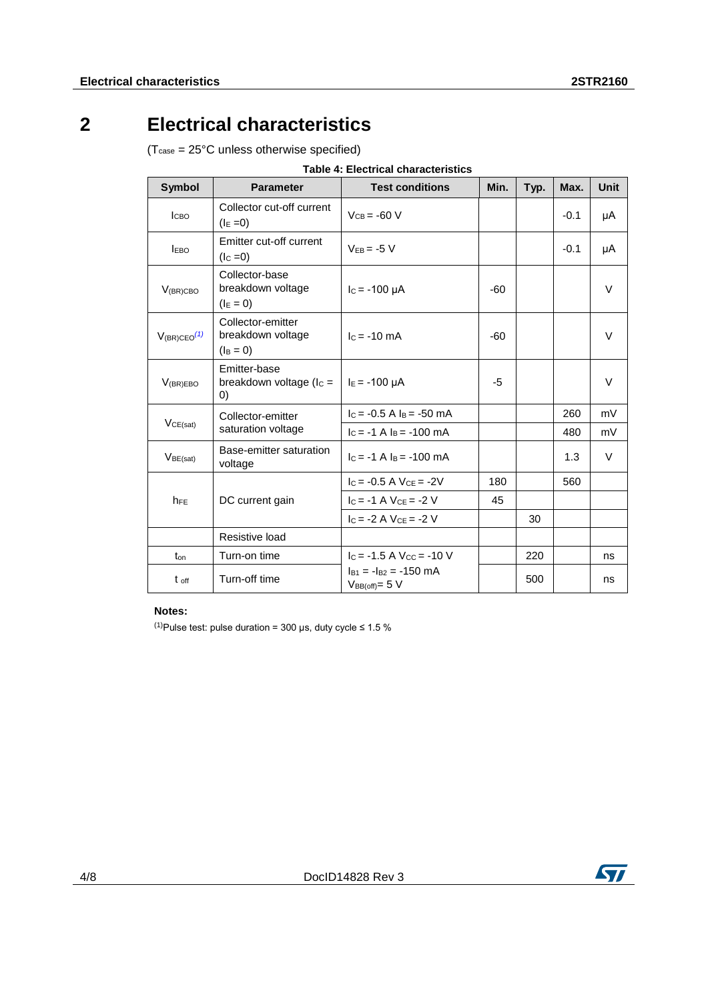# **2 Electrical characteristics**

<span id="page-3-0"></span>(Tcase = 25°C unless otherwise specified)

| Symbol                       | <b>Parameter</b>                                      | <b>Test conditions</b>                              | Min.  | Typ. | Max.   | Unit   |
|------------------------------|-------------------------------------------------------|-----------------------------------------------------|-------|------|--------|--------|
| <b>Ісво</b>                  | Collector cut-off current<br>$(I_E = 0)$              | $V_{CB} = -60 V$                                    |       |      | $-0.1$ | μA     |
| <b>EBO</b>                   | Emitter cut-off current<br>$(IC = 0)$                 | $V_{FB} = -5 V$                                     |       |      | $-0.1$ | μA     |
| $V_{(BR)CBO}$                | Collector-base<br>breakdown voltage<br>$(I_E = 0)$    | $I_c = -100 \mu A$                                  | -60   |      |        | $\vee$ |
| $V_{(BR)CEO}$ <sup>(1)</sup> | Collector-emitter<br>breakdown voltage<br>$(I_B = 0)$ | $c = -10$ mA                                        | $-60$ |      |        | V      |
| $V_{(BR)EBO}$                | Emitter-base<br>breakdown voltage ( $I_c =$<br>0)     | $I_E = -100 \mu A$                                  | -5    |      |        | $\vee$ |
| VCE(sat)                     | Collector-emitter<br>saturation voltage               | $c = -0.5$ A $l_B = -50$ mA                         |       |      | 260    | mV     |
|                              |                                                       | $c = -1$ A $l_B = -100$ mA                          |       |      | 480    | mV     |
| V <sub>BE(sat)</sub>         | Base-emitter saturation<br>voltage                    | $c = -1$ A $l_B = -100$ mA                          |       |      | 1.3    | $\vee$ |
|                              |                                                       | $c = -0.5$ A $V_{CF} = -2V$                         | 180   |      | 560    |        |
| $h_{FE}$                     | DC current gain                                       | $I_C = -1$ A $V_{CE} = -2$ V                        | 45    |      |        |        |
|                              |                                                       | $I_c = -2$ A $V_{ce} = -2$ V                        |       | 30   |        |        |
|                              | Resistive load                                        |                                                     |       |      |        |        |
| $t_{on}$                     | Turn-on time                                          | $I_C = -1.5$ A $V_{CC} = -10$ V                     |       | 220  |        | ns     |
| t off                        | Turn-off time                                         | $I_{B1} = -I_{B2} = -150$ mA<br>$V_{BB(off)} = 5 V$ |       | 500  |        | ns     |

#### **Notes:**

<span id="page-3-1"></span>(1) Pulse test: pulse duration = 300 µs, duty cycle  $\leq 1.5$  %

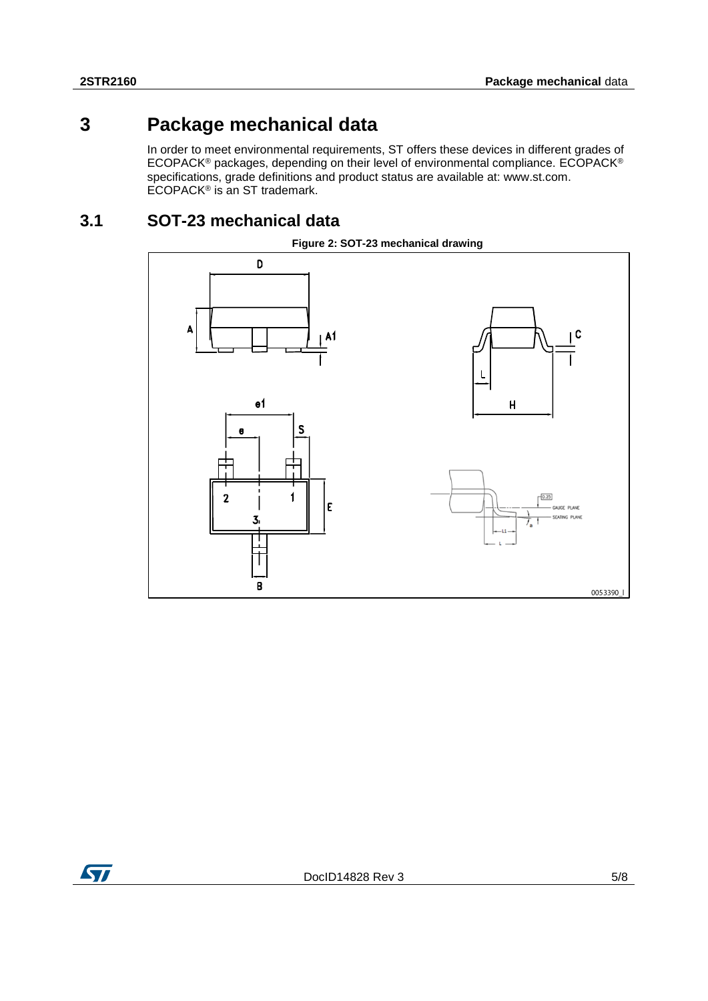### **3 Package mechanical data**

<span id="page-4-0"></span>In order to meet environmental requirements, ST offers these devices in different grades of ECOPACK® packages, depending on their level of environmental compliance. ECOPACK® specifications, grade definitions and product status are available at: www.st.com. ECOPACK® is an ST trademark.

### **3.1 SOT-23 mechanical data**

<span id="page-4-1"></span>



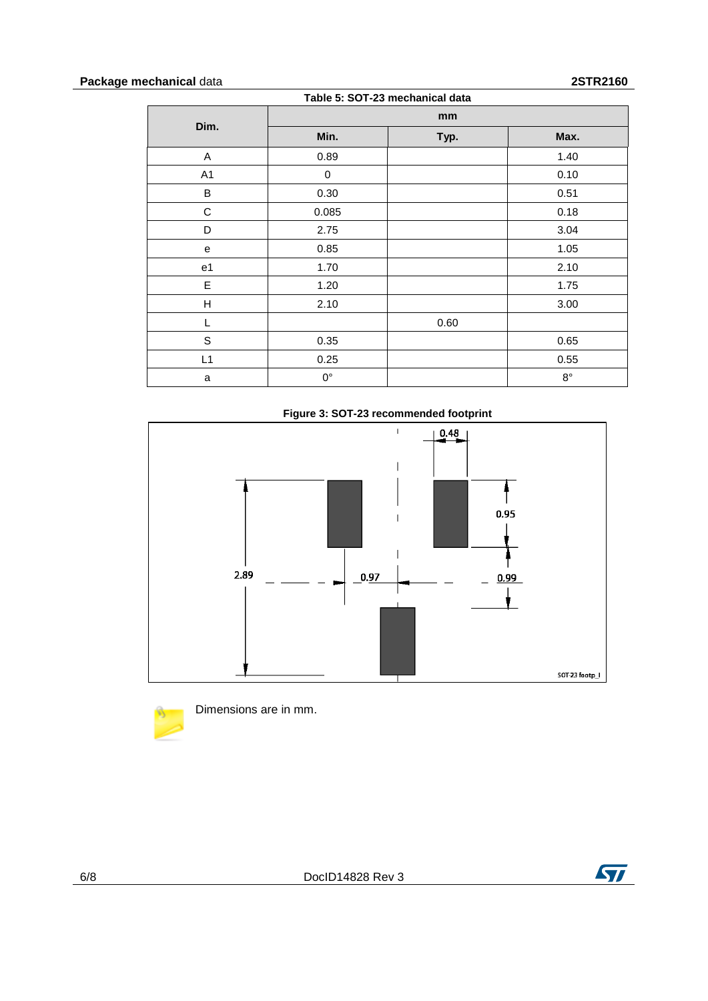#### **Package mechanical** data **2STR2160**

| Table 5: SOT-23 mechanical data |             |      |             |  |
|---------------------------------|-------------|------|-------------|--|
| Dim.                            | mm          |      |             |  |
|                                 | Min.        | Typ. | Max.        |  |
| A                               | 0.89        |      | 1.40        |  |
| A <sub>1</sub>                  | 0           |      | 0.10        |  |
| B                               | 0.30        |      | 0.51        |  |
| $\mathsf C$                     | 0.085       |      | 0.18        |  |
| D                               | 2.75        |      | 3.04        |  |
| e                               | 0.85        |      | 1.05        |  |
| e1                              | 1.70        |      | 2.10        |  |
| E                               | 1.20        |      | 1.75        |  |
| н                               | 2.10        |      | 3.00        |  |
| L                               |             | 0.60 |             |  |
| S                               | 0.35        |      | 0.65        |  |
| L1                              | 0.25        |      | 0.55        |  |
| a                               | $0^{\circ}$ |      | $8^{\circ}$ |  |







Dimensions are in mm.

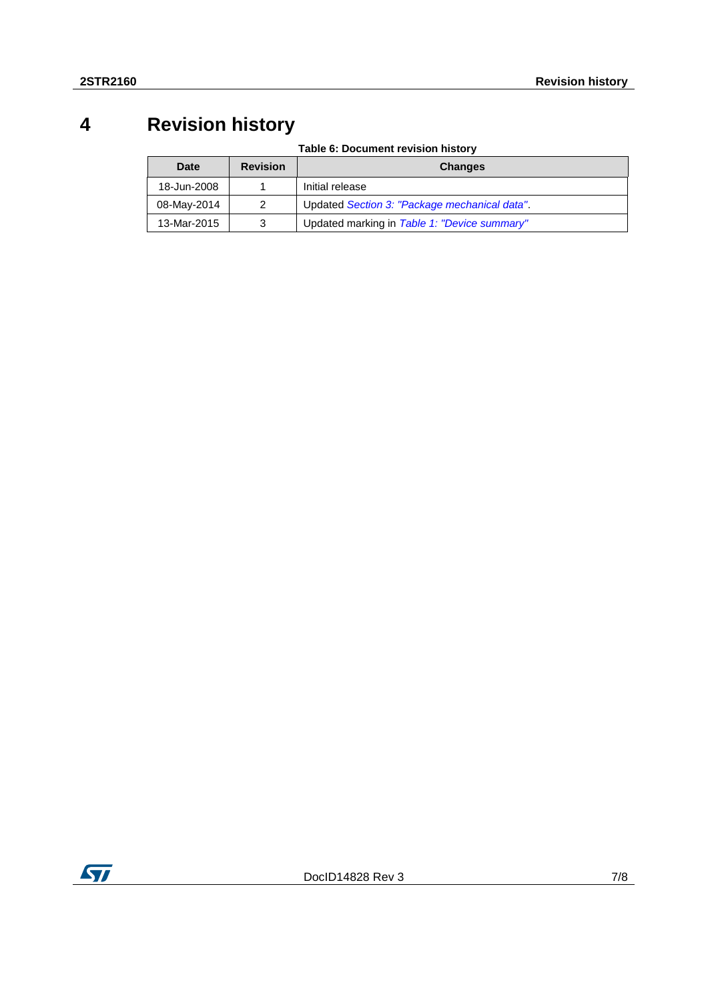### **4 Revision history**

**Table 6: Document revision history**

<span id="page-6-0"></span>

| Date        | <b>Revision</b> | <b>Changes</b>                                |
|-------------|-----------------|-----------------------------------------------|
| 18-Jun-2008 |                 | Initial release                               |
| 08-May-2014 | $\mathcal{P}$   | Updated Section 3: "Package mechanical data". |
| 13-Mar-2015 | 3               | Updated marking in Table 1: "Device summary"  |